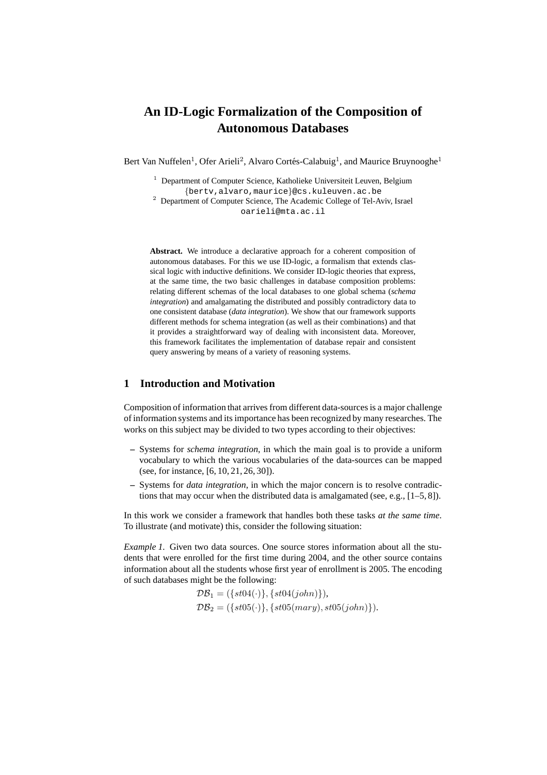# **An ID-Logic Formalization of the Composition of Autonomous Databases**

Bert Van Nuffelen<sup>1</sup>, Ofer Arieli<sup>2</sup>, Alvaro Cortés-Calabuig<sup>1</sup>, and Maurice Bruynooghe<sup>1</sup>

- $1$  Department of Computer Science, Katholieke Universiteit Leuven, Belgium {bertv,alvaro,maurice}@cs.kuleuven.ac.be
- <sup>2</sup> Department of Computer Science, The Academic College of Tel-Aviv, Israel oarieli@mta.ac.il

**Abstract.** We introduce a declarative approach for a coherent composition of autonomous databases. For this we use ID-logic, a formalism that extends classical logic with inductive definitions. We consider ID-logic theories that express, at the same time, the two basic challenges in database composition problems: relating different schemas of the local databases to one global schema (*schema integration*) and amalgamating the distributed and possibly contradictory data to one consistent database (*data integration*). We show that our framework supports different methods for schema integration (as well as their combinations) and that it provides a straightforward way of dealing with inconsistent data. Moreover, this framework facilitates the implementation of database repair and consistent query answering by means of a variety of reasoning systems.

# **1 Introduction and Motivation**

Composition of information that arrives from different data-sources is a major challenge of information systems and its importance has been recognized by many researches. The works on this subject may be divided to two types according to their objectives:

- **–** Systems for *schema integration*, in which the main goal is to provide a uniform vocabulary to which the various vocabularies of the data-sources can be mapped (see, for instance, [6, 10, 21, 26, 30]).
- **–** Systems for *data integration*, in which the major concern is to resolve contradictions that may occur when the distributed data is amalgamated (see, e.g., [1–5, 8]).

In this work we consider a framework that handles both these tasks *at the same time*. To illustrate (and motivate) this, consider the following situation:

*Example 1*. Given two data sources. One source stores information about all the students that were enrolled for the first time during 2004, and the other source contains information about all the students whose first year of enrollment is 2005. The encoding of such databases might be the following:

> $\mathcal{DB}_1 = (\{st04(\cdot)\}, \{st04(john)\}),$  $\mathcal{DB}_2 = (\{st05(\cdot)\}, \{st05(mary), st05(john)\}).$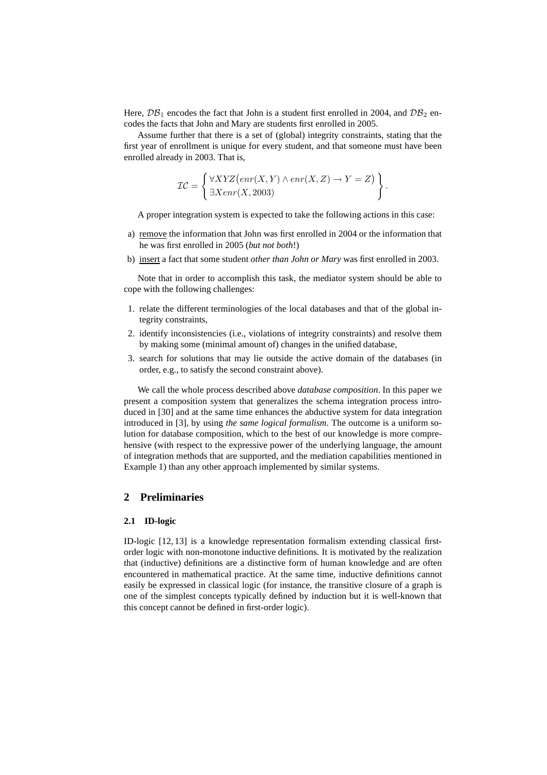Here,  $\mathcal{DB}_1$  encodes the fact that John is a student first enrolled in 2004, and  $\mathcal{DB}_2$  encodes the facts that John and Mary are students first enrolled in 2005.

Assume further that there is a set of (global) integrity constraints, stating that the first year of enrollment is unique for every student, and that someone must have been enrolled already in 2003. That is,

$$
\mathcal{IC} = \left\{ \begin{aligned} \forall XYZ\left( \text{enr}(X, Y) \land \text{enr}(X, Z) \rightarrow Y = Z \right) \\ \exists X \text{enr}(X, 2003) \end{aligned} \right\}.
$$

A proper integration system is expected to take the following actions in this case:

- a) remove the information that John was first enrolled in 2004 or the information that he was first enrolled in 2005 (*but not both*!)
- b) insert a fact that some student *other than John or Mary* was first enrolled in 2003.

Note that in order to accomplish this task, the mediator system should be able to cope with the following challenges:

- 1. relate the different terminologies of the local databases and that of the global integrity constraints,
- 2. identify inconsistencies (i.e., violations of integrity constraints) and resolve them by making some (minimal amount of) changes in the unified database,
- 3. search for solutions that may lie outside the active domain of the databases (in order, e.g., to satisfy the second constraint above).

We call the whole process described above *database composition*. In this paper we present a composition system that generalizes the schema integration process introduced in [30] and at the same time enhances the abductive system for data integration introduced in [3], by using *the same logical formalism*. The outcome is a uniform solution for database composition, which to the best of our knowledge is more comprehensive (with respect to the expressive power of the underlying language, the amount of integration methods that are supported, and the mediation capabilities mentioned in Example 1) than any other approach implemented by similar systems.

# **2 Preliminaries**

### **2.1 ID-logic**

ID-logic [12, 13] is a knowledge representation formalism extending classical firstorder logic with non-monotone inductive definitions. It is motivated by the realization that (inductive) definitions are a distinctive form of human knowledge and are often encountered in mathematical practice. At the same time, inductive definitions cannot easily be expressed in classical logic (for instance, the transitive closure of a graph is one of the simplest concepts typically defined by induction but it is well-known that this concept cannot be defined in first-order logic).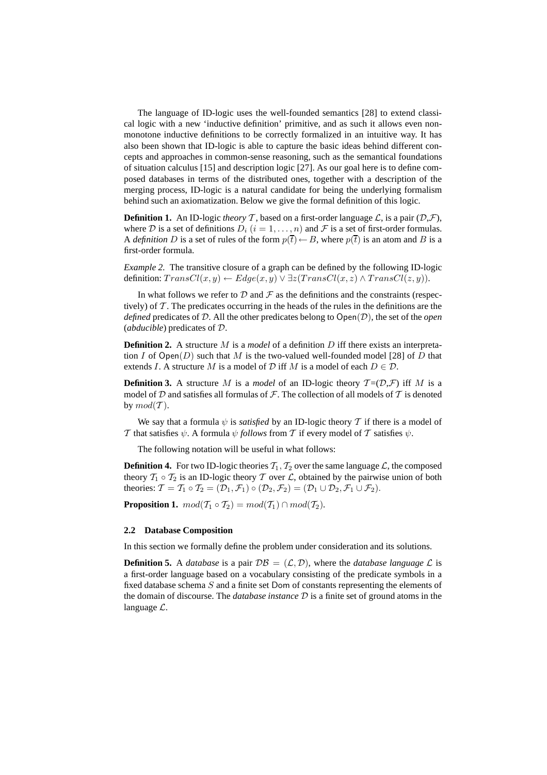The language of ID-logic uses the well-founded semantics [28] to extend classical logic with a new 'inductive definition' primitive, and as such it allows even nonmonotone inductive definitions to be correctly formalized in an intuitive way. It has also been shown that ID-logic is able to capture the basic ideas behind different concepts and approaches in common-sense reasoning, such as the semantical foundations of situation calculus [15] and description logic [27]. As our goal here is to define composed databases in terms of the distributed ones, together with a description of the merging process, ID-logic is a natural candidate for being the underlying formalism behind such an axiomatization. Below we give the formal definition of this logic.

**Definition 1.** An ID-logic *theory*  $\mathcal T$ , based on a first-order language  $\mathcal L$ , is a pair  $(\mathcal D,\mathcal F)$ , where D is a set of definitions  $D_i$   $(i = 1, \ldots, n)$  and F is a set of first-order formulas. A *definition* D is a set of rules of the form  $p(\bar{t}) \leftarrow B$ , where  $p(\bar{t})$  is an atom and B is a first-order formula.

*Example 2.* The transitive closure of a graph can be defined by the following ID-logic definition:  $TransCl(x, y) \leftarrow Edge(x, y) \vee \exists z (TransCl(x, z) \wedge TransCl(z, y)).$ 

In what follows we refer to  $D$  and  $\mathcal F$  as the definitions and the constraints (respectively) of  $\mathcal T$ . The predicates occurring in the heads of the rules in the definitions are the *defined* predicates of D. All the other predicates belong to Open(D), the set of the *open* (*abducible*) predicates of D.

**Definition 2.** A structure M is a *model* of a definition D iff there exists an interpretation I of Open(D) such that M is the two-valued well-founded model [28] of D that extends I. A structure M is a model of D iff M is a model of each  $D \in \mathcal{D}$ .

**Definition 3.** A structure M is a *model* of an ID-logic theory  $T = (D, \mathcal{F})$  iff M is a model of  $D$  and satisfies all formulas of  $\mathcal F$ . The collection of all models of  $T$  is denoted by  $mod(\mathcal{T})$ .

We say that a formula  $\psi$  is *satisfied* by an ID-logic theory T if there is a model of T that satisfies  $\psi$ . A formula  $\psi$  *follows* from T if every model of T satisfies  $\psi$ .

The following notation will be useful in what follows:

**Definition 4.** For two ID-logic theories  $T_1, T_2$  over the same language  $\mathcal{L}$ , the composed theory  $T_1 \circ T_2$  is an ID-logic theory T over L, obtained by the pairwise union of both theories:  $\mathcal{T} = \mathcal{T}_1 \circ \mathcal{T}_2 = (\mathcal{D}_1, \mathcal{F}_1) \circ (\mathcal{D}_2, \mathcal{F}_2) = (\mathcal{D}_1 \cup \mathcal{D}_2, \mathcal{F}_1 \cup \mathcal{F}_2).$ 

**Proposition 1.**  $mod(T_1 \circ T_2) = mod(T_1) \cap mod(T_2)$ .

#### **2.2 Database Composition**

In this section we formally define the problem under consideration and its solutions.

**Definition 5.** A *database* is a pair  $\mathcal{DB} = (\mathcal{L}, \mathcal{D})$ , where the *database language*  $\mathcal{L}$  is a first-order language based on a vocabulary consisting of the predicate symbols in a fixed database schema S and a finite set Dom of constants representing the elements of the domain of discourse. The *database instance* D is a finite set of ground atoms in the language  $\mathcal{L}$ .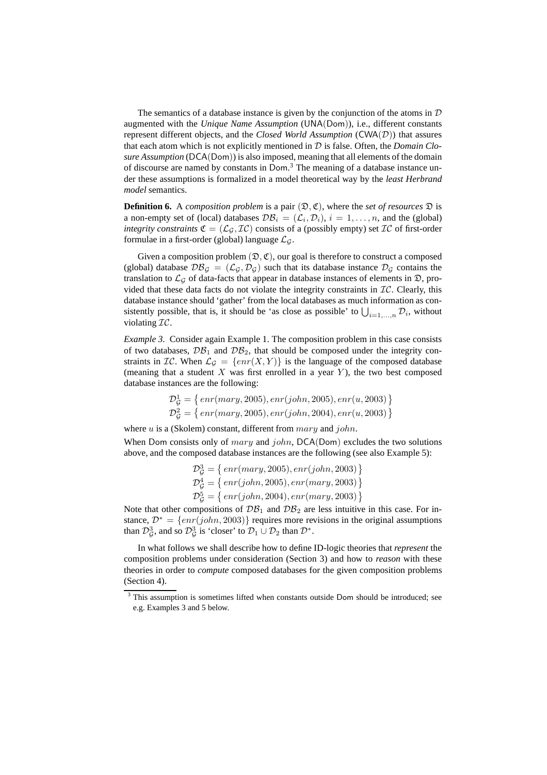The semantics of a database instance is given by the conjunction of the atoms in  $D$ augmented with the *Unique Name Assumption* (UNA(Dom)), i.e., different constants represent different objects, and the *Closed World Assumption* (CWA(D)) that assures that each atom which is not explicitly mentioned in D is false. Often, the *Domain Closure Assumption* (DCA(Dom)) is also imposed, meaning that all elements of the domain of discourse are named by constants in Dom. <sup>3</sup> The meaning of a database instance under these assumptions is formalized in a model theoretical way by the *least Herbrand model* semantics.

**Definition 6.** A *composition problem* is a pair  $(\mathcal{D}, \mathfrak{C})$ , where the *set of resources*  $\mathcal{D}$  is a non-empty set of (local) databases  $\mathcal{DB}_i = (\mathcal{L}_i, \mathcal{D}_i), i = 1, \dots, n$ , and the (global) *integrity constraints*  $\mathfrak{C} = (\mathcal{L}_{\mathcal{G}}, \mathcal{I}\mathcal{C})$  consists of a (possibly empty) set  $\mathcal{I}\mathcal{C}$  of first-order formulae in a first-order (global) language  $\mathcal{L}_{G}$ .

Given a composition problem  $(\mathfrak{D}, \mathfrak{C})$ , our goal is therefore to construct a composed (global) database  $\mathcal{DB}_G = (\mathcal{L}_G, \mathcal{D}_G)$  such that its database instance  $\mathcal{D}_G$  contains the translation to  $\mathcal{L}_{G}$  of data-facts that appear in database instances of elements in  $\mathcal{D}$ , provided that these data facts do not violate the integrity constraints in  $\mathcal{IC}$ . Clearly, this database instance should 'gather' from the local databases as much information as consistently possible, that is, it should be 'as close as possible' to  $\bigcup_{i=1,\dots,n} \mathcal{D}_i$ , without violating IC.

*Example 3.* Consider again Example 1. The composition problem in this case consists of two databases,  $\mathcal{DB}_1$  and  $\mathcal{DB}_2$ , that should be composed under the integrity constraints in  $\mathcal{IC}$ . When  $\mathcal{L}_{\mathcal{G}} = \{ \text{enr}(X, Y) \}$  is the language of the composed database (meaning that a student  $X$  was first enrolled in a year  $Y$ ), the two best composed database instances are the following:

$$
\mathcal{D}_{\mathcal{G}}^1 = \{ \, enr(mary, 2005), enr(john, 2005), enr(u, 2003) \, \}
$$
\n
$$
\mathcal{D}_{\mathcal{G}}^2 = \{ \, enr(mary, 2005), enr(john, 2004), enr(u, 2003) \, \}
$$

where  $u$  is a (Skolem) constant, different from  $mary$  and  $john$ .

When Dom consists only of mary and john,  $DCA(Dom)$  excludes the two solutions above, and the composed database instances are the following (see also Example 5):

$$
\mathcal{D}_{\mathcal{G}}^3 = \{ \, enr(mary, 2005), enr(john, 2003) \, \} \n\mathcal{D}_{\mathcal{G}}^4 = \{ \, enr(john, 2005), enr(mary, 2003) \, \} \n\mathcal{D}_{\mathcal{G}}^5 = \{ \, enr(john, 2004), enr(mary, 2003) \, \}
$$

Note that other compositions of  $\mathcal{DB}_1$  and  $\mathcal{DB}_2$  are less intuitive in this case. For instance,  $\mathcal{D}^* = \{enr(john, 2003)\}\$  requires more revisions in the original assumptions than  $\mathcal{D}_{\mathcal{G}}^3$ , and so  $\mathcal{D}_{\mathcal{G}}^3$  is 'closer' to  $\mathcal{D}_1 \cup \mathcal{D}_2$  than  $\mathcal{D}^*$ .

In what follows we shall describe how to define ID-logic theories that *represent* the composition problems under consideration (Section 3) and how to *reason* with these theories in order to *compute* composed databases for the given composition problems (Section 4).

This assumption is sometimes lifted when constants outside Dom should be introduced; see e.g. Examples 3 and 5 below.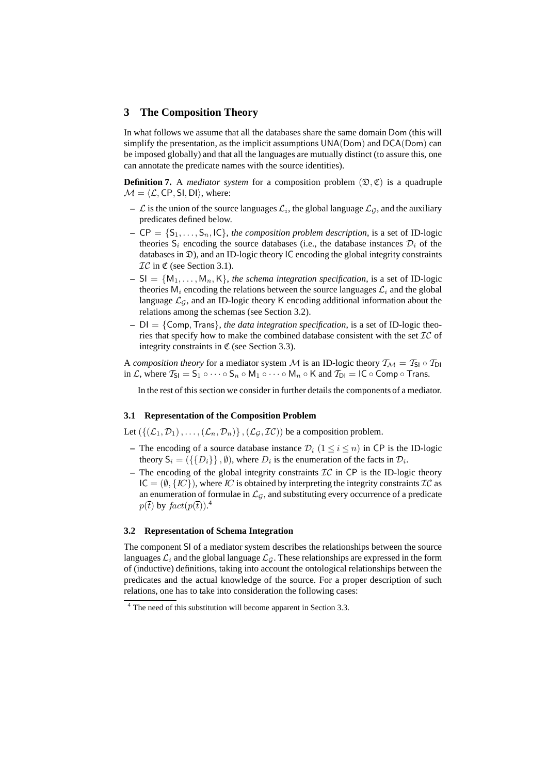# **3 The Composition Theory**

In what follows we assume that all the databases share the same domain Dom (this will simplify the presentation, as the implicit assumptions UNA(Dom) and DCA(Dom) can be imposed globally) and that all the languages are mutually distinct (to assure this, one can annotate the predicate names with the source identities).

**Definition 7.** A *mediator system* for a composition problem  $(\mathcal{D}, \mathfrak{C})$  is a quadruple  $M = \langle \mathcal{L}, \mathsf{CP}, \mathsf{SI}, \mathsf{DI} \rangle$ , where:

- $\mathcal L$  is the union of the source languages  $\mathcal L_i$ , the global language  $\mathcal L_{\mathcal G}$ , and the auxiliary predicates defined below.
- $CP = \{S_1, \ldots, S_n, IC\}$ , *the composition problem description*, is a set of ID-logic theories  $S_i$  encoding the source databases (i.e., the database instances  $\mathcal{D}_i$  of the databases in  $\mathfrak{D}$ ), and an ID-logic theory IC encoding the global integrity constraints  $TC$  in  $\mathfrak C$  (see Section 3.1).
- $\mathsf{I} = \mathsf{S} = \{M_1, \ldots, M_n, K\}$ , *the schema integration specification*, is a set of ID-logic theories  $M_i$  encoding the relations between the source languages  $\mathcal{L}_i$  and the global language  $\mathcal{L}_{\mathcal{G}}$ , and an ID-logic theory K encoding additional information about the relations among the schemas (see Section 3.2).
- **–** DI = {Comp,Trans}, *the data integration specification*, is a set of ID-logic theories that specify how to make the combined database consistent with the set  $\mathcal{IC}$  of integrity constraints in  $\mathfrak C$  (see Section 3.3).

A *composition theory* for a mediator system M is an ID-logic theory  $T_M = T_{SI} \circ T_{DI}$ in L, where  $T_{SI} = S_1 \circ \cdots \circ S_n \circ M_1 \circ \cdots \circ M_n \circ K$  and  $T_{DI} = IC \circ Comp \circ Trans.$ 

In the rest of this section we consider in further details the components of a mediator.

### **3.1 Representation of the Composition Problem**

Let  $(\{(\mathcal{L}_1, \mathcal{D}_1), \ldots, (\mathcal{L}_n, \mathcal{D}_n)\}, (\mathcal{L}_{\mathcal{G}}, \mathcal{I}\mathcal{C})$  be a composition problem.

- **–** The encoding of a source database instance  $\mathcal{D}_i$  ( $1 \leq i \leq n$ ) in CP is the ID-logic theory  $S_i = (\{\{D_i\}\}\, , \emptyset)$ , where  $D_i$  is the enumeration of the facts in  $\mathcal{D}_i$ .
- The encoding of the global integrity constraints  $\mathcal{IC}$  in CP is the ID-logic theory  $IC = (\emptyset, \{IC\})$ , where IC is obtained by interpreting the integrity constraints  $IC$  as an enumeration of formulae in  $\mathcal{L}_{\mathcal{G}}$ , and substituting every occurrence of a predicate  $p(\overline{t})$  by  $fact(p(\overline{t}))$ .<sup>4</sup>

#### **3.2 Representation of Schema Integration**

The component SI of a mediator system describes the relationships between the source languages  $\mathcal{L}_i$  and the global language  $\mathcal{L}_G$ . These relationships are expressed in the form of (inductive) definitions, taking into account the ontological relationships between the predicates and the actual knowledge of the source. For a proper description of such relations, one has to take into consideration the following cases:

<sup>4</sup> The need of this substitution will become apparent in Section 3.3.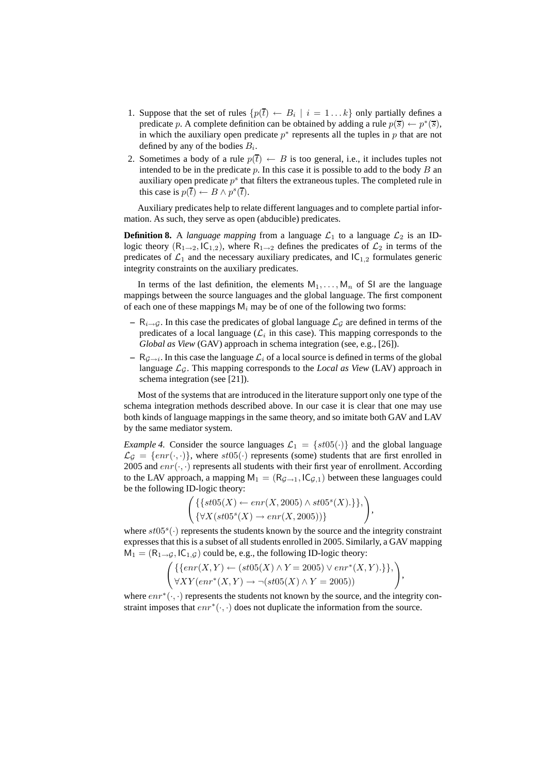- 1. Suppose that the set of rules  $\{p(\overline{t}) \leftarrow B_i \mid i = 1...k\}$  only partially defines a predicate p. A complete definition can be obtained by adding a rule  $p(\overline{s}) \leftarrow p^*(\overline{s})$ , in which the auxiliary open predicate  $p^*$  represents all the tuples in p that are not defined by any of the bodies  $B_i$ .
- 2. Sometimes a body of a rule  $p(\bar{t}) \leftarrow B$  is too general, i.e., it includes tuples not intended to be in the predicate p. In this case it is possible to add to the body  $B$  and auxiliary open predicate  $p^s$  that filters the extraneous tuples. The completed rule in this case is  $p(\overline{t}) \leftarrow B \land p^s(\overline{t})$ .

Auxiliary predicates help to relate different languages and to complete partial information. As such, they serve as open (abducible) predicates.

**Definition 8.** A *language mapping* from a language  $\mathcal{L}_1$  to a language  $\mathcal{L}_2$  is an IDlogic theory  $(R_{1\rightarrow 2}, K_{1,2})$ , where  $R_{1\rightarrow 2}$  defines the predicates of  $\mathcal{L}_2$  in terms of the predicates of  $\mathcal{L}_1$  and the necessary auxiliary predicates, and  $|C_{1,2}|$  formulates generic integrity constraints on the auxiliary predicates.

In terms of the last definition, the elements  $M_1, \ldots, M_n$  of SI are the language mappings between the source languages and the global language. The first component of each one of these mappings  $M_i$  may be of one of the following two forms:

- $−$  R<sub>i→G</sub>. In this case the predicates of global language  $\mathcal{L}_G$  are defined in terms of the predicates of a local language ( $\mathcal{L}_i$  in this case). This mapping corresponds to the *Global as View* (GAV) approach in schema integration (see, e.g., [26]).
- $R_{\mathcal{G} \to i}$ . In this case the language  $\mathcal{L}_i$  of a local source is defined in terms of the global language  $\mathcal{L}_{G}$ . This mapping corresponds to the *Local as View* (LAV) approach in schema integration (see [21]).

Most of the systems that are introduced in the literature support only one type of the schema integration methods described above. In our case it is clear that one may use both kinds of language mappings in the same theory, and so imitate both GAV and LAV by the same mediator system.

*Example 4.* Consider the source languages  $\mathcal{L}_1 = \{st05(\cdot)\}\$  and the global language  $\mathcal{L}_{\mathcal{G}} = \{enr(\cdot, \cdot)\}\$ , where  $st05(\cdot)$  represents (some) students that are first enrolled in 2005 and  $enr(\cdot, \cdot)$  represents all students with their first year of enrollment. According to the LAV approach, a mapping  $M_1 = (R_{\mathcal{G}\rightarrow 1}, I C_{\mathcal{G},1})$  between these languages could be the following ID-logic theory:

$$
\left(\{\{st05(X) \leftarrow enr(X, 2005) \land st05^s(X).\}\},\right)\n\left(\{\forall X(st05^s(X) \rightarrow enr(X, 2005))\}\right)
$$

,

,

where  $st05<sup>s</sup>(.)$  represents the students known by the source and the integrity constraint expresses that this is a subset of all students enrolled in 2005. Similarly, a GAV mapping  $M_1 = (R_{1\rightarrow G}, I C_{1,G})$  could be, e.g., the following ID-logic theory:

$$
\begin{pmatrix} \{ \{ \text{enr}(X, Y) \leftarrow (\text{st05}(X) \land Y = 2005) \lor \text{enr}^*(X, Y) . \} \}, \\ \forall XY (\text{enr}^*(X, Y) \rightarrow \neg (\text{st05}(X) \land Y = 2005)) \end{pmatrix}
$$

where  $enr^*(\cdot, \cdot)$  represents the students not known by the source, and the integrity constraint imposes that  $enr^*(\cdot, \cdot)$  does not duplicate the information from the source.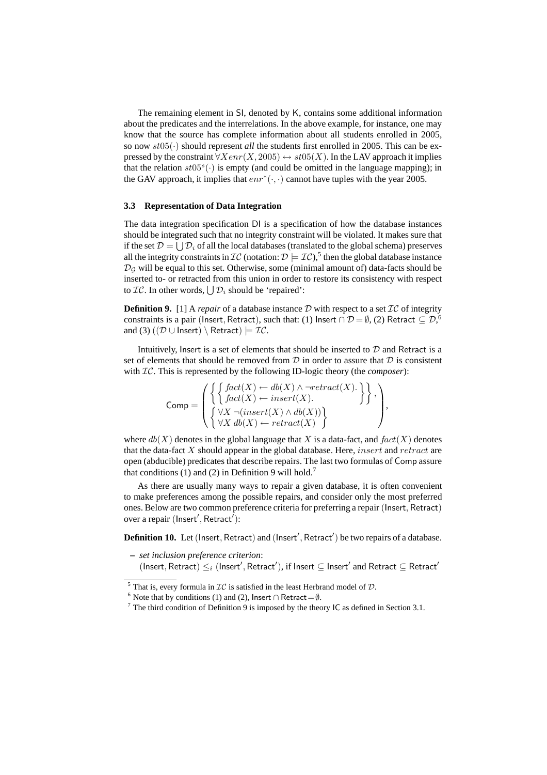The remaining element in SI, denoted by K, contains some additional information about the predicates and the interrelations. In the above example, for instance, one may know that the source has complete information about all students enrolled in 2005, so now  $st05(\cdot)$  should represent *all* the students first enrolled in 2005. This can be expressed by the constraint  $\forall Xenr(X, 2005) \leftrightarrow st05(X)$ . In the LAV approach it implies that the relation  $st05<sup>s</sup>(.)$  is empty (and could be omitted in the language mapping); in the GAV approach, it implies that  $enr^*(\cdot, \cdot)$  cannot have tuples with the year 2005.

#### **3.3 Representation of Data Integration**

The data integration specification DI is a specification of how the database instances should be integrated such that no integrity constraint will be violated. It makes sure that if the set  $\mathcal{D} = \bigcup \mathcal{D}_i$  of all the local databases (translated to the global schema) preserves all the integrity constraints in  $IC$  (notation:  $\mathcal{D} \models \mathcal{IC}$ ), then the global database instance  $\mathcal{D}_G$  will be equal to this set. Otherwise, some (minimal amount of) data-facts should be inserted to- or retracted from this union in order to restore its consistency with respect to  $IC.$  In other words,  $\bigcup \mathcal{D}_i$  should be 'repaired':

**Definition 9.** [1] A *repair* of a database instance  $D$  with respect to a set  $IC$  of integrity constraints is a pair (Insert, Retract), such that: (1) Insert ∩  $\mathcal{D} = \emptyset$ , (2) Retract  $\subseteq \mathcal{D},^6$ and (3)  $((\mathcal{D} \cup \text{Insert}) \setminus \text{Retract}) \models \mathcal{IC}.$ 

Intuitively, Insert is a set of elements that should be inserted to  $D$  and Retract is a set of elements that should be removed from  $\mathcal D$  in order to assure that  $\mathcal D$  is consistent with IC. This is represented by the following ID-logic theory (the *composer*):

$$
\text{Comp} = \left( \left\{ \left\{ \begin{matrix} \text{fact}(X) \leftarrow db(X) \land \neg \text{retract}(X). \\ \text{fact}(X) \leftarrow \text{insert}(X). \\ \begin{matrix} \forall X \ \neg (\text{insert}(X) \land db(X)) \\ \forall X \ db(X) \leftarrow \text{retract}(X) \end{matrix} \right) \end{matrix} \right\}, \right)
$$

where  $db(X)$  denotes in the global language that X is a data-fact, and  $fact(X)$  denotes that the data-fact  $X$  should appear in the global database. Here, *insert* and  $retract$  are open (abducible) predicates that describe repairs. The last two formulas of Comp assure that conditions (1) and (2) in Definition 9 will hold.<sup>7</sup>

As there are usually many ways to repair a given database, it is often convenient to make preferences among the possible repairs, and consider only the most preferred ones. Below are two common preference criteria for preferring a repair (Insert, Retract) over a repair (Insert', Retract'):

Definition 10. Let (Insert, Retract) and (Insert', Retract') be two repairs of a database.

- **–** *set inclusion preference criterion*:
	- $(\mathsf{Insert}, \mathsf{Retract}) \leq_i (\mathsf{Insert}', \mathsf{Retract}'),$  if  $\mathsf{Insert} \subseteq \mathsf{Insert}'$  and  $\mathsf{Retract} \subseteq \mathsf{Retract}'$

<sup>&</sup>lt;sup>5</sup> That is, every formula in  $IC$  is satisfied in the least Herbrand model of  $D$ .

<sup>&</sup>lt;sup>6</sup> Note that by conditions (1) and (2), Insert ∩ Retract =  $\emptyset$ .

 $<sup>7</sup>$  The third condition of Definition 9 is imposed by the theory IC as defined in Section 3.1.</sup>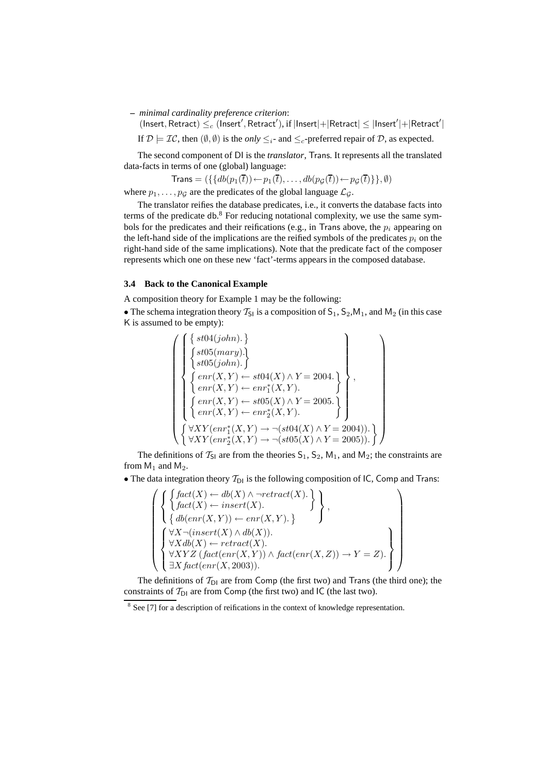**–** *minimal cardinality preference criterion*:

 $($ Insert, Retract $) \leq_c ($ Insert', Retract'), if  $|$ Insert $|+|$ Retract $| \leq |$ Insert' $|+|$ Retract' $|$ 

If  $\mathcal{D} \models \mathcal{IC}$ , then  $(\emptyset, \emptyset)$  is the *only*  $\leq_i$ - and  $\leq_c$ -preferred repair of  $\mathcal{D}$ , as expected.

The second component of DI is the *translator*, Trans. It represents all the translated data-facts in terms of one (global) language:

Trans = 
$$
(\{\{db(p_1(\overline{t})) \leftarrow p_1(\overline{t}), \ldots, db(p_{\mathcal{G}}(\overline{t})) \leftarrow p_{\mathcal{G}}(\overline{t})\}, \emptyset)
$$

where  $p_1, \ldots, p_{\mathcal{G}}$  are the predicates of the global language  $\mathcal{L}_{\mathcal{G}}$ .

The translator reifies the database predicates, i.e., it converts the database facts into terms of the predicate db.<sup>8</sup> For reducing notational complexity, we use the same symbols for the predicates and their reifications (e.g., in Trans above, the  $p_i$  appearing on the left-hand side of the implications are the reified symbols of the predicates  $p_i$  on the right-hand side of the same implications). Note that the predicate fact of the composer represents which one on these new 'fact'-terms appears in the composed database.

#### **3.4 Back to the Canonical Example**

A composition theory for Example 1 may be the following:

• The schema integration theory  $T_{SI}$  is a composition of  $S_1$ ,  $S_2$ ,  $M_1$ , and  $M_2$  (in this case K is assumed to be empty):

$$
\left\{\begin{pmatrix}\n\left\{\n\begin{array}{l}\n\text{st04}(john).\n\end{array}\right\} \\
\left\{\n\begin{array}{l}\n\text{st05}(mary).\n\end{array}\right\} \\
\left\{\n\begin{array}{l}\n\text{st05}(john).\n\end{array}\right\} \\
\left\{\n\begin{array}{l}\n\text{enr}(X,Y) \leftarrow \text{st04}(X) \land Y = 2004. \\
\text{enr}(X,Y) \leftarrow \text{enr}_{1}^{*}(X,Y).\n\end{array}\n\right\} \\
\left\{\n\begin{array}{l}\n\text{enr}(X,Y) \leftarrow \text{st05}(X) \land Y = 2005. \\
\text{enr}(X,Y) \leftarrow \text{enr}_{2}^{*}(X,Y).\n\end{array}\n\right\} \\
\left\{\n\begin{array}{l}\n\forall XY(\text{enr}_{1}^{*}(X,Y) \rightarrow \neg(\text{st04}(X) \land Y = 2004)). \\
\forall XY(\text{enr}_{2}^{*}(X,Y) \rightarrow \neg(\text{st05}(X) \land Y = 2005)).\n\end{array}\n\right\}\n\right\}
$$

The definitions of  $T_{SI}$  are from the theories  $S_1$ ,  $S_2$ ,  $M_1$ , and  $M_2$ ; the constraints are from  $M_1$  and  $M_2$ .

• The data integration theory  $T_{\text{DI}}$  is the following composition of IC, Comp and Trans:

$$
\left\{\left\{\begin{aligned}\begin{Bmatrix}\begin{cases}\begin{cases}\begin{cases}\begin{cases}\begin{{cases}\end{cases}\end{cases} & \begin{{matrix}\end{cases} & \text{if } \end{cases} & \text{if } \end{cases} & \begin{matrix} & \text{if } \end{cases} & \end{cases}\\ \begin{cases}\begin{cases}\begin{cases}\end{cases}\end{cases} & \begin{cases}\end{cases} & \begin{cases}\end{cases} & \text{if } \end{cases} & \begin{cases}\end{cases}\end{cases} & \begin{cases}\end{cases}\end{cases} & \begin{cases}\end{cases}\end{cases} & \begin{cases}\end{cases}\end{cases} & \begin{cases}\end{cases}\end{cases} & \begin{cases}\end{cases}\end{cases} & \begin{cases}\end{cases} & \begin{cases}\end{cases} & \text{if } \end{cases} & \begin{cases}\end{cases} & \begin{cases}\end{cases} & \begin{cases}\end{cases} & \begin{cases}\end{cases} & \begin{cases}\end{cases} & \begin{cases}\end{cases} & \begin{cases}\end{cases} & \begin{cases}\end{cases} & \begin{cases}\end{cases} & \begin{cases}\end{cases} & \begin{cases}\end{cases} & \begin{cases}\end{cases} & \begin{cases}\end{cases} & \begin{cases}\end{cases} & \begin{cases}\end{cases} & \begin{cases}\end{cases} & \begin{cases}\end{cases} & \begin{cases}\end{cases} & \begin{cases}\end{cases} & \begin{cases}\end{cases} & \begin{cases}\end{cases} & \begin{cases}\end{cases} & \begin{cases}\end{cases} & \begin{cases}\end{cases} & \begin{cases}\end{cases} & \begin{cases}\end{cases} & \begin{cases}\end{cases} & \begin{cases}\end{cases} & \begin{cases}\end{cases} & \begin{cases}\end{cases} & \begin{cases}\end{cases} & \begin{cases}\end{cases} & \begin{cases}\end{cases} & \begin{cases}\end{cases} & \begin{cases}\end{cases} & \begin{cases}\end{cases} & \begin{cases}\end{cases} & \begin{cases}\end{cases} & \begin{cases}\end{cases} & \begin{cases}\end{cases} & \begin{cases}\end{cases} & \begin{cases}\end{cases} & \begin{cases}\end{cases} & \begin{cases}\end{cases} & \begin{cases}\end{cases} & \begin{cases}\end{cases} & \begin{cases}\end{cases} & \begin{cases}\end{cases} & \begin{cases}\end{cases} & \
$$

The definitions of  $T_{D1}$  are from Comp (the first two) and Trans (the third one); the constraints of  $T_{D1}$  are from Comp (the first two) and IC (the last two).

<sup>&</sup>lt;sup>8</sup> See [7] for a description of reifications in the context of knowledge representation.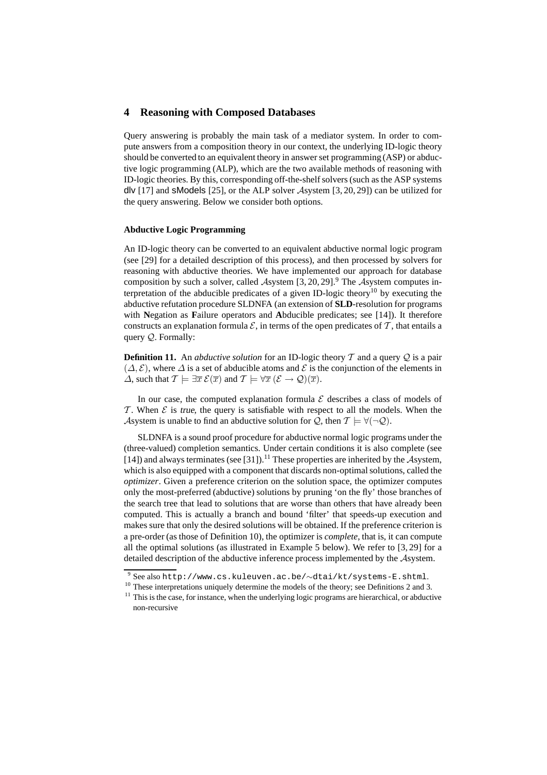# **4 Reasoning with Composed Databases**

Query answering is probably the main task of a mediator system. In order to compute answers from a composition theory in our context, the underlying ID-logic theory should be converted to an equivalent theory in answer set programming (ASP) or abductive logic programming (ALP), which are the two available methods of reasoning with ID-logic theories. By this, corresponding off-the-shelf solvers (such as the ASP systems dlv [17] and sModels [25], or the ALP solver Asystem [3, 20, 29]) can be utilized for the query answering. Below we consider both options.

#### **Abductive Logic Programming**

An ID-logic theory can be converted to an equivalent abductive normal logic program (see [29] for a detailed description of this process), and then processed by solvers for reasoning with abductive theories. We have implemented our approach for database composition by such a solver, called Asystem  $[3, 20, 29]$ .<sup>9</sup> The Asystem computes interpretation of the abducible predicates of a given ID-logic theory<sup>10</sup> by executing the abductive refutation procedure SLDNFA (an extension of **SLD**-resolution for programs with **N**egation as **F**ailure operators and **A**bducible predicates; see [14]). It therefore constructs an explanation formula  $\mathcal{E}$ , in terms of the open predicates of  $\mathcal{T}$ , that entails a query Q. Formally:

**Definition 11.** An *abductive solution* for an ID-logic theory  $T$  and a query  $Q$  is a pair  $(\Delta, \mathcal{E})$ , where  $\Delta$  is a set of abducible atoms and  $\mathcal{E}$  is the conjunction of the elements in  $\Delta$ , such that  $\mathcal{T} \models \exists \overline{x} \ \mathcal{E}(\overline{x})$  and  $\mathcal{T} \models \forall \overline{x} \ (\mathcal{E} \rightarrow \mathcal{Q})(\overline{x})$ .

In our case, the computed explanation formula  $\mathcal E$  describes a class of models of T. When  $\mathcal E$  is true, the query is satisfiable with respect to all the models. When the Asystem is unable to find an abductive solution for  $Q$ , then  $T \models \forall (\neg Q)$ .

SLDNFA is a sound proof procedure for abductive normal logic programs under the (three-valued) completion semantics. Under certain conditions it is also complete (see [14]) and always terminates (see [31]).<sup>11</sup> These properties are inherited by the Asystem, which is also equipped with a component that discards non-optimal solutions, called the *optimizer*. Given a preference criterion on the solution space, the optimizer computes only the most-preferred (abductive) solutions by pruning 'on the fly' those branches of the search tree that lead to solutions that are worse than others that have already been computed. This is actually a branch and bound 'filter' that speeds-up execution and makes sure that only the desired solutions will be obtained. If the preference criterion is a pre-order (as those of Definition 10), the optimizer is *complete*, that is, it can compute all the optimal solutions (as illustrated in Example 5 below). We refer to [3, 29] for a detailed description of the abductive inference process implemented by the Asystem.

<sup>9</sup> See also http://www.cs.kuleuven.ac.be/∼dtai/kt/systems-E.shtml.

<sup>&</sup>lt;sup>10</sup> These interpretations uniquely determine the models of the theory; see Definitions 2 and 3.

 $11$  This is the case, for instance, when the underlying logic programs are hierarchical, or abductive non-recursive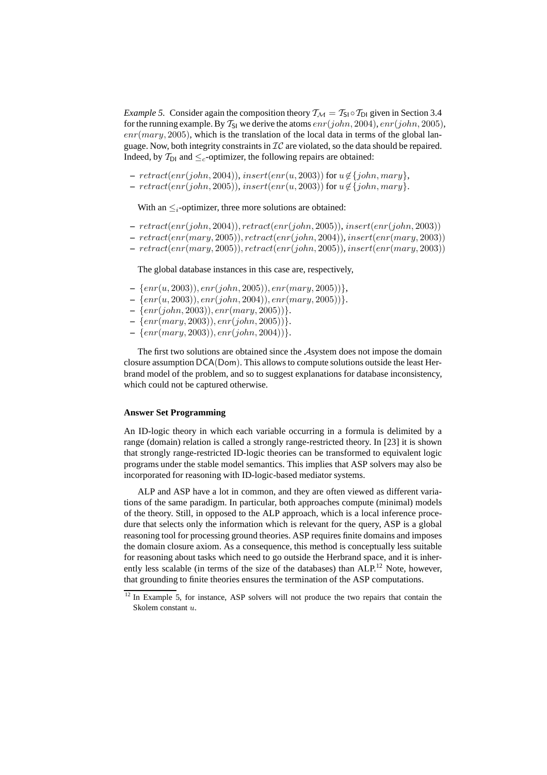*Example 5.* Consider again the composition theory  $T_M = T_{SI} \circ T_{DI}$  given in Section 3.4 for the running example. By  $T_{SI}$  we derive the atoms  $enr(john, 2004)$ ,  $enr(john, 2005)$ ,  $enr(mary, 2005)$ , which is the translation of the local data in terms of the global language. Now, both integrity constraints in  $IC$  are violated, so the data should be repaired. Indeed, by  $T_{\text{DI}}$  and  $\leq_c$ -optimizer, the following repairs are obtained:

**–**  $retract(enr(john, 2004)), insert(enr(u, 2003))$  for  $u \notin \{john, Mary\}$ ,

 $– \; retract(enr(john, 2005)), insert(enr(u, 2003))$  for  $u \notin \{john, Mary\}.$ 

With an  $\leq_i$ -optimizer, three more solutions are obtained:

- **–** retract(enr(john, 2004)), retract(enr(john, 2005)), insert(enr(john, 2003))
- **–** retract(enr(mary, 2005)), retract(enr(john, 2004)), insert(enr(mary, 2003))
- **–** retract(enr(mary, 2005)), retract(enr(john, 2005)), insert(enr(mary, 2003))

The global database instances in this case are, respectively,

- **–** {enr(u, 2003)), enr(john, 2005)), enr(mary, 2005))},
- **–** {enr(u, 2003)), enr(john, 2004)), enr(mary, 2005))}.
- **–** {enr(john, 2003)), enr(mary, 2005))}.
- **–** {enr(mary, 2003)), enr(john, 2005))}.
- **–** {enr(mary, 2003)), enr(john, 2004))}.

The first two solutions are obtained since the Asystem does not impose the domain closure assumption DCA(Dom). This allows to compute solutions outside the least Herbrand model of the problem, and so to suggest explanations for database inconsistency, which could not be captured otherwise.

#### **Answer Set Programming**

An ID-logic theory in which each variable occurring in a formula is delimited by a range (domain) relation is called a strongly range-restricted theory. In [23] it is shown that strongly range-restricted ID-logic theories can be transformed to equivalent logic programs under the stable model semantics. This implies that ASP solvers may also be incorporated for reasoning with ID-logic-based mediator systems.

ALP and ASP have a lot in common, and they are often viewed as different variations of the same paradigm. In particular, both approaches compute (minimal) models of the theory. Still, in opposed to the ALP approach, which is a local inference procedure that selects only the information which is relevant for the query, ASP is a global reasoning tool for processing ground theories. ASP requires finite domains and imposes the domain closure axiom. As a consequence, this method is conceptually less suitable for reasoning about tasks which need to go outside the Herbrand space, and it is inherently less scalable (in terms of the size of the databases) than ALP.<sup>12</sup> Note, however, that grounding to finite theories ensures the termination of the ASP computations.

<sup>&</sup>lt;sup>12</sup> In Example 5, for instance, ASP solvers will not produce the two repairs that contain the Skolem constant u.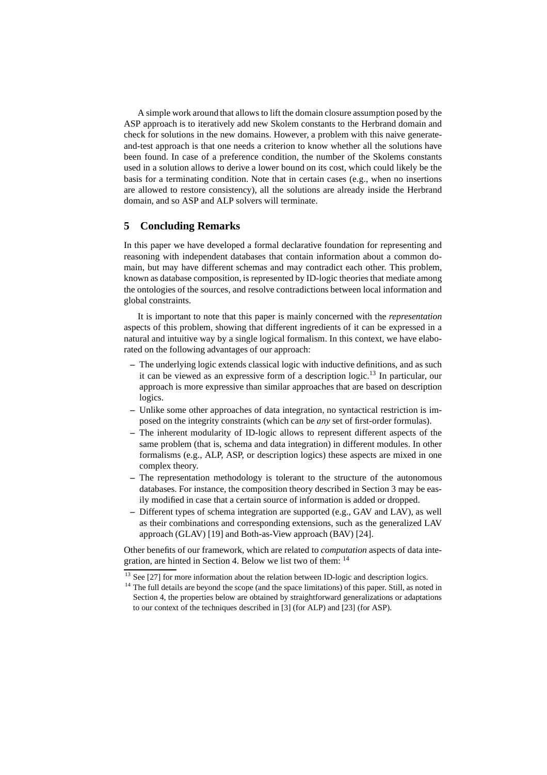A simple work around that allows to lift the domain closure assumption posed by the ASP approach is to iteratively add new Skolem constants to the Herbrand domain and check for solutions in the new domains. However, a problem with this naive generateand-test approach is that one needs a criterion to know whether all the solutions have been found. In case of a preference condition, the number of the Skolems constants used in a solution allows to derive a lower bound on its cost, which could likely be the basis for a terminating condition. Note that in certain cases (e.g., when no insertions are allowed to restore consistency), all the solutions are already inside the Herbrand domain, and so ASP and ALP solvers will terminate.

# **5 Concluding Remarks**

In this paper we have developed a formal declarative foundation for representing and reasoning with independent databases that contain information about a common domain, but may have different schemas and may contradict each other. This problem, known as database composition, is represented by ID-logic theories that mediate among the ontologies of the sources, and resolve contradictions between local information and global constraints.

It is important to note that this paper is mainly concerned with the *representation* aspects of this problem, showing that different ingredients of it can be expressed in a natural and intuitive way by a single logical formalism. In this context, we have elaborated on the following advantages of our approach:

- **–** The underlying logic extends classical logic with inductive definitions, and as such it can be viewed as an expressive form of a description logic.<sup>13</sup> In particular, our approach is more expressive than similar approaches that are based on description logics.
- **–** Unlike some other approaches of data integration, no syntactical restriction is imposed on the integrity constraints (which can be *any* set of first-order formulas).
- **–** The inherent modularity of ID-logic allows to represent different aspects of the same problem (that is, schema and data integration) in different modules. In other formalisms (e.g., ALP, ASP, or description logics) these aspects are mixed in one complex theory.
- **–** The representation methodology is tolerant to the structure of the autonomous databases. For instance, the composition theory described in Section 3 may be easily modified in case that a certain source of information is added or dropped.
- **–** Different types of schema integration are supported (e.g., GAV and LAV), as well as their combinations and corresponding extensions, such as the generalized LAV approach (GLAV) [19] and Both-as-View approach (BAV) [24].

Other benefits of our framework, which are related to *computation* aspects of data integration, are hinted in Section 4. Below we list two of them: <sup>14</sup>

<sup>&</sup>lt;sup>13</sup> See [27] for more information about the relation between ID-logic and description logics.

<sup>&</sup>lt;sup>14</sup> The full details are beyond the scope (and the space limitations) of this paper. Still, as noted in Section 4, the properties below are obtained by straightforward generalizations or adaptations to our context of the techniques described in [3] (for ALP) and [23] (for ASP).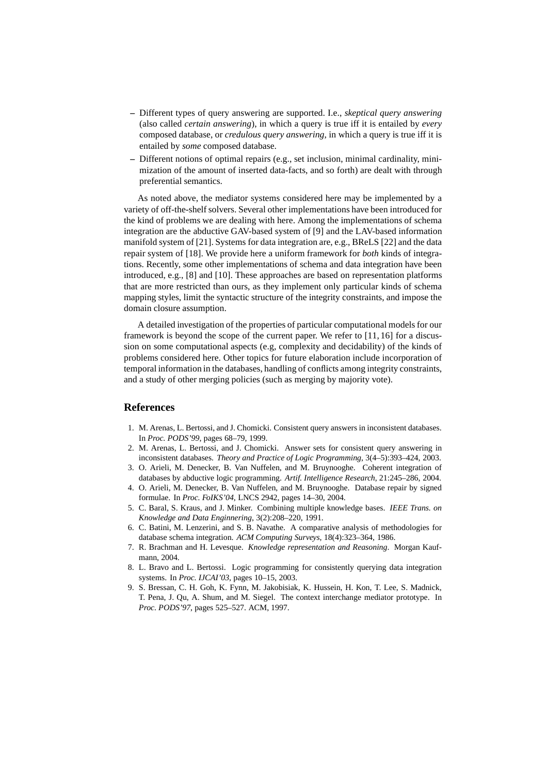- **–** Different types of query answering are supported. I.e., *skeptical query answering* (also called *certain answering*), in which a query is true iff it is entailed by *every* composed database, or *credulous query answering*, in which a query is true iff it is entailed by *some* composed database.
- **–** Different notions of optimal repairs (e.g., set inclusion, minimal cardinality, minimization of the amount of inserted data-facts, and so forth) are dealt with through preferential semantics.

As noted above, the mediator systems considered here may be implemented by a variety of off-the-shelf solvers. Several other implementations have been introduced for the kind of problems we are dealing with here. Among the implementations of schema integration are the abductive GAV-based system of [9] and the LAV-based information manifold system of [21]. Systems for data integration are, e.g., BReLS [22] and the data repair system of [18]. We provide here a uniform framework for *both* kinds of integrations. Recently, some other implementations of schema and data integration have been introduced, e.g., [8] and [10]. These approaches are based on representation platforms that are more restricted than ours, as they implement only particular kinds of schema mapping styles, limit the syntactic structure of the integrity constraints, and impose the domain closure assumption.

A detailed investigation of the properties of particular computational models for our framework is beyond the scope of the current paper. We refer to [11, 16] for a discussion on some computational aspects (e.g, complexity and decidability) of the kinds of problems considered here. Other topics for future elaboration include incorporation of temporal information in the databases, handling of conflicts among integrity constraints, and a study of other merging policies (such as merging by majority vote).

## **References**

- 1. M. Arenas, L. Bertossi, and J. Chomicki. Consistent query answers in inconsistent databases. In *Proc. PODS'99*, pages 68–79, 1999.
- 2. M. Arenas, L. Bertossi, and J. Chomicki. Answer sets for consistent query answering in inconsistent databases. *Theory and Practice of Logic Programming*, 3(4–5):393–424, 2003.
- 3. O. Arieli, M. Denecker, B. Van Nuffelen, and M. Bruynooghe. Coherent integration of databases by abductive logic programming. *Artif. Intelligence Research*, 21:245–286, 2004.
- 4. O. Arieli, M. Denecker, B. Van Nuffelen, and M. Bruynooghe. Database repair by signed formulae. In *Proc. FoIKS'04*, LNCS 2942, pages 14–30, 2004.
- 5. C. Baral, S. Kraus, and J. Minker. Combining multiple knowledge bases. *IEEE Trans. on Knowledge and Data Enginnering*, 3(2):208–220, 1991.
- 6. C. Batini, M. Lenzerini, and S. B. Navathe. A comparative analysis of methodologies for database schema integration. *ACM Computing Surveys*, 18(4):323–364, 1986.
- 7. R. Brachman and H. Levesque. *Knowledge representation and Reasoning*. Morgan Kaufmann, 2004.
- 8. L. Bravo and L. Bertossi. Logic programming for consistently querying data integration systems. In *Proc. IJCAI'03*, pages 10–15, 2003.
- 9. S. Bressan, C. H. Goh, K. Fynn, M. Jakobisiak, K. Hussein, H. Kon, T. Lee, S. Madnick, T. Pena, J. Qu, A. Shum, and M. Siegel. The context interchange mediator prototype. In *Proc. PODS'97*, pages 525–527. ACM, 1997.